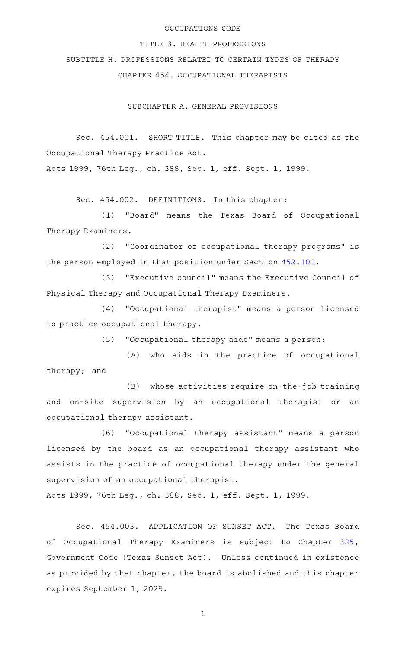# OCCUPATIONS CODE

#### TITLE 3. HEALTH PROFESSIONS

SUBTITLE H. PROFESSIONS RELATED TO CERTAIN TYPES OF THERAPY CHAPTER 454. OCCUPATIONAL THERAPISTS

SUBCHAPTER A. GENERAL PROVISIONS

Sec. 454.001. SHORT TITLE. This chapter may be cited as the Occupational Therapy Practice Act.

Acts 1999, 76th Leg., ch. 388, Sec. 1, eff. Sept. 1, 1999.

Sec. 454.002. DEFINITIONS. In this chapter:

(1) "Board" means the Texas Board of Occupational Therapy Examiners.

(2) "Coordinator of occupational therapy programs" is the person employed in that position under Section [452.101.](https://statutes.capitol.texas.gov/GetStatute.aspx?Code=OC&Value=452.101)

(3) "Executive council" means the Executive Council of Physical Therapy and Occupational Therapy Examiners.

(4) "Occupational therapist" means a person licensed to practice occupational therapy.

(5) "Occupational therapy aide" means a person:

(A) who aids in the practice of occupational therapy; and

(B) whose activities require on-the-job training and on-site supervision by an occupational therapist or an occupational therapy assistant.

(6) "Occupational therapy assistant" means a person licensed by the board as an occupational therapy assistant who assists in the practice of occupational therapy under the general supervision of an occupational therapist.

Acts 1999, 76th Leg., ch. 388, Sec. 1, eff. Sept. 1, 1999.

Sec. 454.003. APPLICATION OF SUNSET ACT. The Texas Board of Occupational Therapy Examiners is subject to Chapter [325](https://statutes.capitol.texas.gov/GetStatute.aspx?Code=GV&Value=325), Government Code (Texas Sunset Act). Unless continued in existence as provided by that chapter, the board is abolished and this chapter expires September 1, 2029.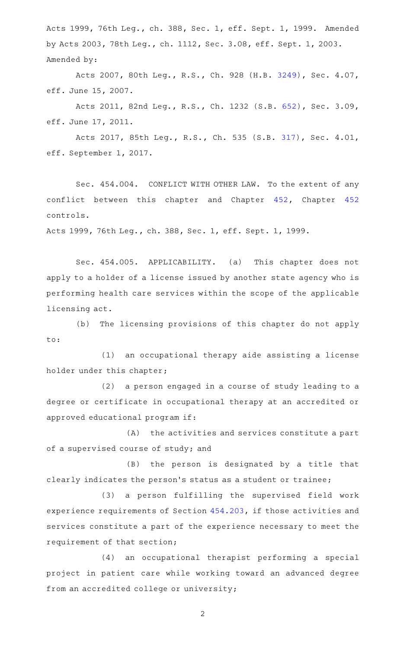Acts 1999, 76th Leg., ch. 388, Sec. 1, eff. Sept. 1, 1999. Amended by Acts 2003, 78th Leg., ch. 1112, Sec. 3.08, eff. Sept. 1, 2003. Amended by:

Acts 2007, 80th Leg., R.S., Ch. 928 (H.B. [3249\)](http://www.legis.state.tx.us/tlodocs/80R/billtext/html/HB03249F.HTM), Sec. 4.07, eff. June 15, 2007.

Acts 2011, 82nd Leg., R.S., Ch. 1232 (S.B. [652\)](http://www.legis.state.tx.us/tlodocs/82R/billtext/html/SB00652F.HTM), Sec. 3.09, eff. June 17, 2011.

Acts 2017, 85th Leg., R.S., Ch. 535 (S.B. [317](http://www.legis.state.tx.us/tlodocs/85R/billtext/html/SB00317F.HTM)), Sec. 4.01, eff. September 1, 2017.

Sec. 454.004. CONFLICT WITH OTHER LAW. To the extent of any conflict between this chapter and Chapter [452,](https://statutes.capitol.texas.gov/GetStatute.aspx?Code=OC&Value=452) Chapter [452](https://statutes.capitol.texas.gov/GetStatute.aspx?Code=OC&Value=452) controls.

Acts 1999, 76th Leg., ch. 388, Sec. 1, eff. Sept. 1, 1999.

Sec. 454.005. APPLICABILITY. (a) This chapter does not apply to a holder of a license issued by another state agency who is performing health care services within the scope of the applicable licensing act.

(b) The licensing provisions of this chapter do not apply to:

(1) an occupational therapy aide assisting a license holder under this chapter;

(2) a person engaged in a course of study leading to a degree or certificate in occupational therapy at an accredited or approved educational program if:

(A) the activities and services constitute a part of a supervised course of study; and

(B) the person is designated by a title that clearly indicates the person 's status as a student or trainee;

(3) a person fulfilling the supervised field work experience requirements of Section [454.203](https://statutes.capitol.texas.gov/GetStatute.aspx?Code=OC&Value=454.203), if those activities and services constitute a part of the experience necessary to meet the requirement of that section;

(4) an occupational therapist performing a special project in patient care while working toward an advanced degree from an accredited college or university;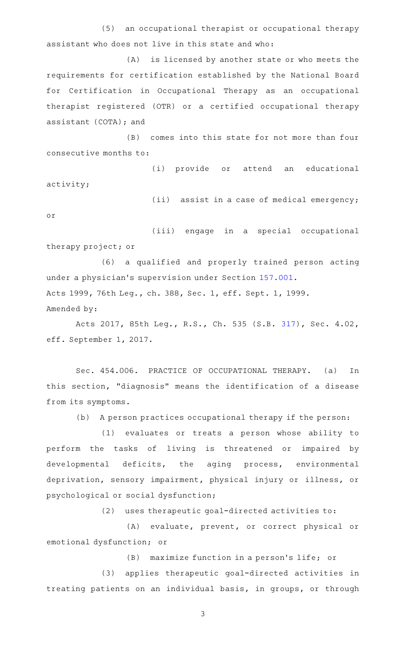(5) an occupational therapist or occupational therapy assistant who does not live in this state and who:

(A) is licensed by another state or who meets the requirements for certification established by the National Board for Certification in Occupational Therapy as an occupational therapist registered (OTR) or a certified occupational therapy assistant (COTA); and

(B) comes into this state for not more than four consecutive months to:

(i) provide or attend an educational activity;

(ii) assist in a case of medical emergency;

or

(iii) engage in a special occupational therapy project; or

(6) a qualified and properly trained person acting under a physician's supervision under Section [157.001](https://statutes.capitol.texas.gov/GetStatute.aspx?Code=OC&Value=157.001). Acts 1999, 76th Leg., ch. 388, Sec. 1, eff. Sept. 1, 1999.

Amended by:

Acts 2017, 85th Leg., R.S., Ch. 535 (S.B. [317](http://www.legis.state.tx.us/tlodocs/85R/billtext/html/SB00317F.HTM)), Sec. 4.02, eff. September 1, 2017.

Sec. 454.006. PRACTICE OF OCCUPATIONAL THERAPY. (a) In this section, "diagnosis" means the identification of a disease from its symptoms.

(b) A person practices occupational therapy if the person:

(1) evaluates or treats a person whose ability to perform the tasks of living is threatened or impaired by developmental deficits, the aging process, environmental deprivation, sensory impairment, physical injury or illness, or psychological or social dysfunction;

(2) uses therapeutic goal-directed activities to:

(A) evaluate, prevent, or correct physical or emotional dysfunction; or

 $(B)$  maximize function in a person's life; or

(3) applies therapeutic goal-directed activities in treating patients on an individual basis, in groups, or through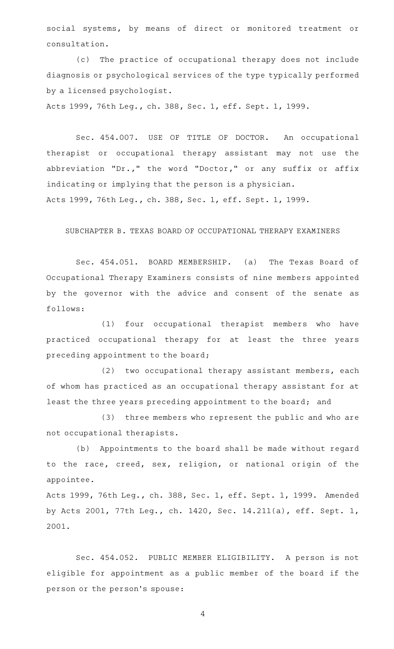social systems, by means of direct or monitored treatment or consultation.

(c) The practice of occupational therapy does not include diagnosis or psychological services of the type typically performed by a licensed psychologist.

Acts 1999, 76th Leg., ch. 388, Sec. 1, eff. Sept. 1, 1999.

Sec. 454.007. USE OF TITLE OF DOCTOR. An occupational therapist or occupational therapy assistant may not use the abbreviation "Dr.," the word "Doctor," or any suffix or affix indicating or implying that the person is a physician. Acts 1999, 76th Leg., ch. 388, Sec. 1, eff. Sept. 1, 1999.

#### SUBCHAPTER B. TEXAS BOARD OF OCCUPATIONAL THERAPY EXAMINERS

Sec. 454.051. BOARD MEMBERSHIP. (a) The Texas Board of Occupational Therapy Examiners consists of nine members appointed by the governor with the advice and consent of the senate as follows:

(1) four occupational therapist members who have practiced occupational therapy for at least the three years preceding appointment to the board;

(2) two occupational therapy assistant members, each of whom has practiced as an occupational therapy assistant for at least the three years preceding appointment to the board; and

(3) three members who represent the public and who are not occupational therapists.

(b) Appointments to the board shall be made without regard to the race, creed, sex, religion, or national origin of the appointee.

Acts 1999, 76th Leg., ch. 388, Sec. 1, eff. Sept. 1, 1999. Amended by Acts 2001, 77th Leg., ch. 1420, Sec. 14.211(a), eff. Sept. 1, 2001.

Sec. 454.052. PUBLIC MEMBER ELIGIBILITY. A person is not eligible for appointment as a public member of the board if the person or the person 's spouse: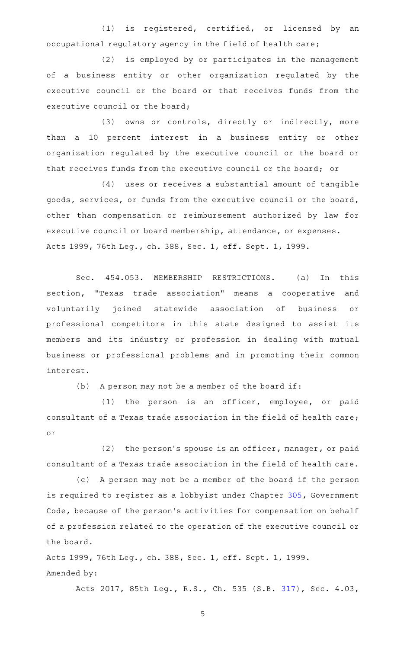(1) is registered, certified, or licensed by an occupational regulatory agency in the field of health care;

(2) is employed by or participates in the management of a business entity or other organization regulated by the executive council or the board or that receives funds from the executive council or the board;

(3) owns or controls, directly or indirectly, more than a 10 percent interest in a business entity or other organization regulated by the executive council or the board or that receives funds from the executive council or the board; or

(4) uses or receives a substantial amount of tangible goods, services, or funds from the executive council or the board, other than compensation or reimbursement authorized by law for executive council or board membership, attendance, or expenses. Acts 1999, 76th Leg., ch. 388, Sec. 1, eff. Sept. 1, 1999.

Sec. 454.053. MEMBERSHIP RESTRICTIONS. (a) In this section, "Texas trade association" means a cooperative and voluntarily joined statewide association of business or professional competitors in this state designed to assist its members and its industry or profession in dealing with mutual business or professional problems and in promoting their common interest.

 $(b)$  A person may not be a member of the board if:

 $(1)$  the person is an officer, employee, or paid consultant of a Texas trade association in the field of health care; or

 $(2)$  the person's spouse is an officer, manager, or paid consultant of a Texas trade association in the field of health care.

(c) A person may not be a member of the board if the person is required to register as a lobbyist under Chapter [305](https://statutes.capitol.texas.gov/GetStatute.aspx?Code=GV&Value=305), Government Code, because of the person's activities for compensation on behalf of a profession related to the operation of the executive council or the board.

Acts 1999, 76th Leg., ch. 388, Sec. 1, eff. Sept. 1, 1999. Amended by:

Acts 2017, 85th Leg., R.S., Ch. 535 (S.B. [317](http://www.legis.state.tx.us/tlodocs/85R/billtext/html/SB00317F.HTM)), Sec. 4.03,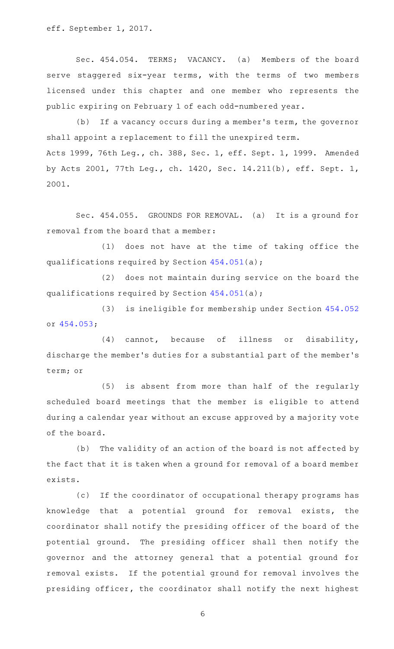eff. September 1, 2017.

Sec. 454.054. TERMS; VACANCY. (a) Members of the board serve staggered six-year terms, with the terms of two members licensed under this chapter and one member who represents the public expiring on February 1 of each odd-numbered year.

(b) If a vacancy occurs during a member's term, the governor shall appoint a replacement to fill the unexpired term. Acts 1999, 76th Leg., ch. 388, Sec. 1, eff. Sept. 1, 1999. Amended by Acts 2001, 77th Leg., ch. 1420, Sec. 14.211(b), eff. Sept. 1, 2001.

Sec. 454.055. GROUNDS FOR REMOVAL. (a) It is a ground for removal from the board that a member:

(1) does not have at the time of taking office the qualifications required by Section [454.051\(](https://statutes.capitol.texas.gov/GetStatute.aspx?Code=OC&Value=454.051)a);

(2) does not maintain during service on the board the qualifications required by Section [454.051\(](https://statutes.capitol.texas.gov/GetStatute.aspx?Code=OC&Value=454.051)a);

(3) is ineligible for membership under Section [454.052](https://statutes.capitol.texas.gov/GetStatute.aspx?Code=OC&Value=454.052) or [454.053;](https://statutes.capitol.texas.gov/GetStatute.aspx?Code=OC&Value=454.053)

(4) cannot, because of illness or disability, discharge the member 's duties for a substantial part of the member 's term; or

(5) is absent from more than half of the regularly scheduled board meetings that the member is eligible to attend during a calendar year without an excuse approved by a majority vote of the board.

(b) The validity of an action of the board is not affected by the fact that it is taken when a ground for removal of a board member exists.

(c) If the coordinator of occupational therapy programs has knowledge that a potential ground for removal exists, the coordinator shall notify the presiding officer of the board of the potential ground. The presiding officer shall then notify the governor and the attorney general that a potential ground for removal exists. If the potential ground for removal involves the presiding officer, the coordinator shall notify the next highest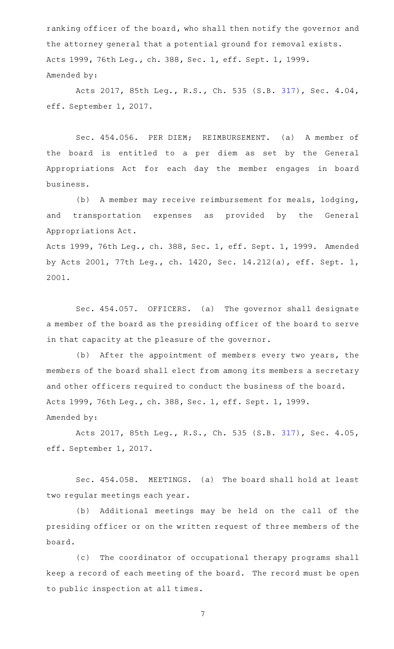ranking officer of the board, who shall then notify the governor and the attorney general that a potential ground for removal exists. Acts 1999, 76th Leg., ch. 388, Sec. 1, eff. Sept. 1, 1999. Amended by:

Acts 2017, 85th Leg., R.S., Ch. 535 (S.B. [317](http://www.legis.state.tx.us/tlodocs/85R/billtext/html/SB00317F.HTM)), Sec. 4.04, eff. September 1, 2017.

Sec. 454.056. PER DIEM; REIMBURSEMENT. (a) A member of the board is entitled to a per diem as set by the General Appropriations Act for each day the member engages in board business.

(b) A member may receive reimbursement for meals, lodging, and transportation expenses as provided by the General Appropriations Act.

Acts 1999, 76th Leg., ch. 388, Sec. 1, eff. Sept. 1, 1999. Amended by Acts 2001, 77th Leg., ch. 1420, Sec. 14.212(a), eff. Sept. 1, 2001.

Sec. 454.057. OFFICERS. (a) The governor shall designate a member of the board as the presiding officer of the board to serve in that capacity at the pleasure of the governor.

(b) After the appointment of members every two years, the members of the board shall elect from among its members a secretary and other officers required to conduct the business of the board. Acts 1999, 76th Leg., ch. 388, Sec. 1, eff. Sept. 1, 1999. Amended by:

Acts 2017, 85th Leg., R.S., Ch. 535 (S.B. [317](http://www.legis.state.tx.us/tlodocs/85R/billtext/html/SB00317F.HTM)), Sec. 4.05, eff. September 1, 2017.

Sec. 454.058. MEETINGS. (a) The board shall hold at least two regular meetings each year.

(b) Additional meetings may be held on the call of the presiding officer or on the written request of three members of the board.

(c) The coordinator of occupational therapy programs shall keep a record of each meeting of the board. The record must be open to public inspection at all times.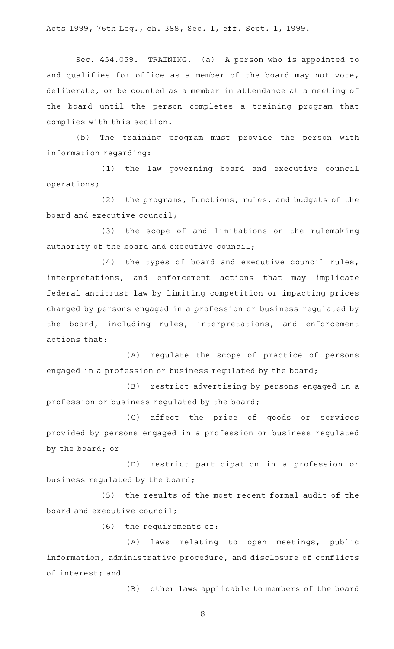Acts 1999, 76th Leg., ch. 388, Sec. 1, eff. Sept. 1, 1999.

Sec. 454.059. TRAINING. (a) A person who is appointed to and qualifies for office as a member of the board may not vote, deliberate, or be counted as a member in attendance at a meeting of the board until the person completes a training program that complies with this section.

(b) The training program must provide the person with information regarding:

(1) the law governing board and executive council operations;

(2) the programs, functions, rules, and budgets of the board and executive council;

(3) the scope of and limitations on the rulemaking authority of the board and executive council;

 $(4)$  the types of board and executive council rules, interpretations, and enforcement actions that may implicate federal antitrust law by limiting competition or impacting prices charged by persons engaged in a profession or business regulated by the board, including rules, interpretations, and enforcement actions that:

(A) regulate the scope of practice of persons engaged in a profession or business regulated by the board;

(B) restrict advertising by persons engaged in a profession or business regulated by the board;

(C) affect the price of goods or services provided by persons engaged in a profession or business regulated by the board; or

(D) restrict participation in a profession or business regulated by the board;

(5) the results of the most recent formal audit of the board and executive council;

 $(6)$  the requirements of:

(A) laws relating to open meetings, public information, administrative procedure, and disclosure of conflicts of interest; and

(B) other laws applicable to members of the board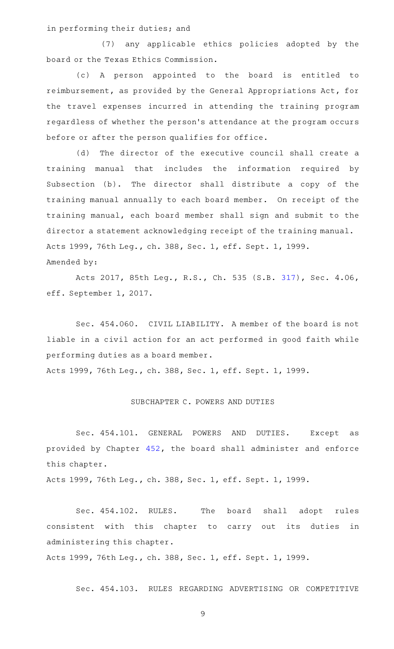in performing their duties; and

(7) any applicable ethics policies adopted by the board or the Texas Ethics Commission.

(c)AAA person appointed to the board is entitled to reimbursement, as provided by the General Appropriations Act, for the travel expenses incurred in attending the training program regardless of whether the person 's attendance at the program occurs before or after the person qualifies for office.

(d) The director of the executive council shall create a training manual that includes the information required by Subsection (b). The director shall distribute a copy of the training manual annually to each board member. On receipt of the training manual, each board member shall sign and submit to the director a statement acknowledging receipt of the training manual. Acts 1999, 76th Leg., ch. 388, Sec. 1, eff. Sept. 1, 1999. Amended by:

Acts 2017, 85th Leg., R.S., Ch. 535 (S.B. [317](http://www.legis.state.tx.us/tlodocs/85R/billtext/html/SB00317F.HTM)), Sec. 4.06, eff. September 1, 2017.

Sec. 454.060. CIVIL LIABILITY. A member of the board is not liable in a civil action for an act performed in good faith while performing duties as a board member. Acts 1999, 76th Leg., ch. 388, Sec. 1, eff. Sept. 1, 1999.

# SUBCHAPTER C. POWERS AND DUTIES

Sec. 454.101. GENERAL POWERS AND DUTIES. Except as provided by Chapter [452](https://statutes.capitol.texas.gov/GetStatute.aspx?Code=OC&Value=452), the board shall administer and enforce this chapter.

Acts 1999, 76th Leg., ch. 388, Sec. 1, eff. Sept. 1, 1999.

Sec. 454.102. RULES. The board shall adopt rules consistent with this chapter to carry out its duties in administering this chapter.

Acts 1999, 76th Leg., ch. 388, Sec. 1, eff. Sept. 1, 1999.

Sec. 454.103. RULES REGARDING ADVERTISING OR COMPETITIVE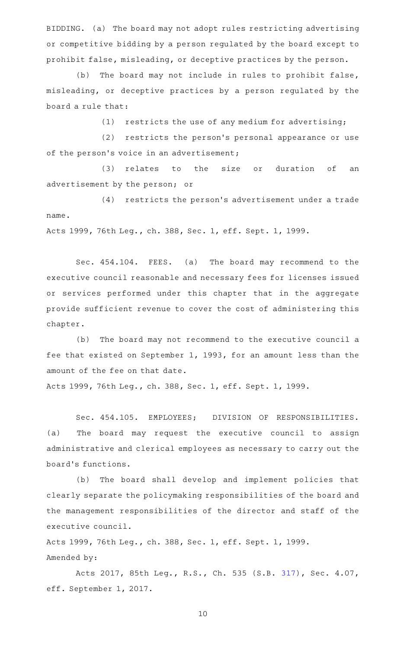BIDDING. (a) The board may not adopt rules restricting advertising or competitive bidding by a person regulated by the board except to prohibit false, misleading, or deceptive practices by the person.

(b) The board may not include in rules to prohibit false, misleading, or deceptive practices by a person regulated by the board a rule that:

 $(1)$  restricts the use of any medium for advertising;

(2) restricts the person's personal appearance or use of the person's voice in an advertisement;

(3) relates to the size or duration of an advertisement by the person; or

(4) restricts the person's advertisement under a trade name.

Acts 1999, 76th Leg., ch. 388, Sec. 1, eff. Sept. 1, 1999.

Sec. 454.104. FEES. (a) The board may recommend to the executive council reasonable and necessary fees for licenses issued or services performed under this chapter that in the aggregate provide sufficient revenue to cover the cost of administering this chapter.

(b) The board may not recommend to the executive council a fee that existed on September 1, 1993, for an amount less than the amount of the fee on that date.

Acts 1999, 76th Leg., ch. 388, Sec. 1, eff. Sept. 1, 1999.

Sec. 454.105. EMPLOYEES; DIVISION OF RESPONSIBILITIES. (a) The board may request the executive council to assign administrative and clerical employees as necessary to carry out the board 's functions.

(b) The board shall develop and implement policies that clearly separate the policymaking responsibilities of the board and the management responsibilities of the director and staff of the executive council.

Acts 1999, 76th Leg., ch. 388, Sec. 1, eff. Sept. 1, 1999. Amended by:

Acts 2017, 85th Leg., R.S., Ch. 535 (S.B. [317](http://www.legis.state.tx.us/tlodocs/85R/billtext/html/SB00317F.HTM)), Sec. 4.07, eff. September 1, 2017.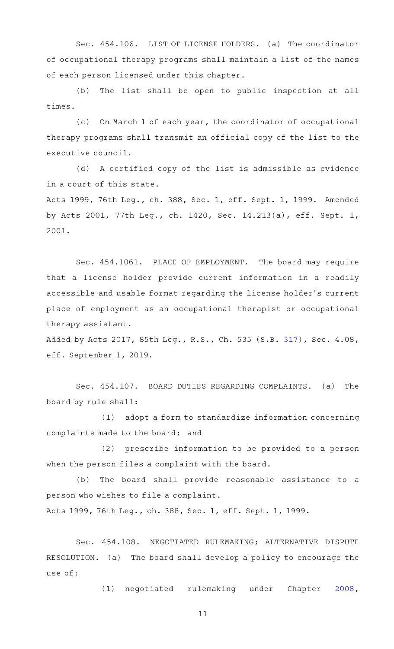Sec. 454.106. LIST OF LICENSE HOLDERS. (a) The coordinator of occupational therapy programs shall maintain a list of the names of each person licensed under this chapter.

(b) The list shall be open to public inspection at all times.

(c) On March 1 of each year, the coordinator of occupational therapy programs shall transmit an official copy of the list to the executive council.

(d) A certified copy of the list is admissible as evidence in a court of this state.

Acts 1999, 76th Leg., ch. 388, Sec. 1, eff. Sept. 1, 1999. Amended by Acts 2001, 77th Leg., ch. 1420, Sec. 14.213(a), eff. Sept. 1, 2001.

Sec. 454.1061. PLACE OF EMPLOYMENT. The board may require that a license holder provide current information in a readily accessible and usable format regarding the license holder 's current place of employment as an occupational therapist or occupational therapy assistant.

Added by Acts 2017, 85th Leg., R.S., Ch. 535 (S.B. [317](http://www.legis.state.tx.us/tlodocs/85R/billtext/html/SB00317F.HTM)), Sec. 4.08, eff. September 1, 2019.

Sec. 454.107. BOARD DUTIES REGARDING COMPLAINTS. (a) The board by rule shall:

(1) adopt a form to standardize information concerning complaints made to the board; and

(2) prescribe information to be provided to a person when the person files a complaint with the board.

(b) The board shall provide reasonable assistance to a person who wishes to file a complaint.

Acts 1999, 76th Leg., ch. 388, Sec. 1, eff. Sept. 1, 1999.

Sec. 454.108. NEGOTIATED RULEMAKING; ALTERNATIVE DISPUTE RESOLUTION. (a) The board shall develop a policy to encourage the use of:

(1) negotiated rulemaking under Chapter [2008](https://statutes.capitol.texas.gov/GetStatute.aspx?Code=GV&Value=2008),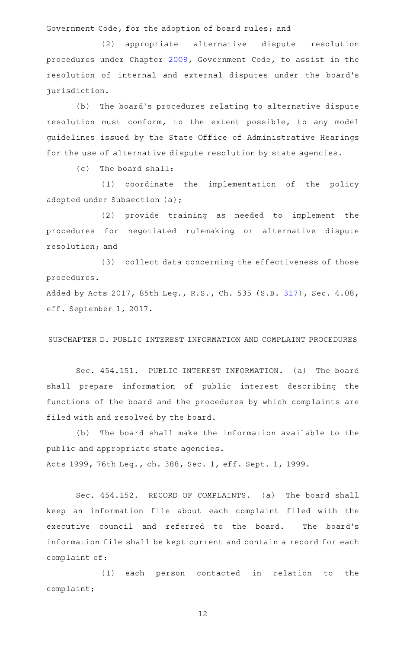Government Code, for the adoption of board rules; and

(2) appropriate alternative dispute resolution procedures under Chapter [2009,](https://statutes.capitol.texas.gov/GetStatute.aspx?Code=GV&Value=2009) Government Code, to assist in the resolution of internal and external disputes under the board's jurisdiction.

(b) The board's procedures relating to alternative dispute resolution must conform, to the extent possible, to any model guidelines issued by the State Office of Administrative Hearings for the use of alternative dispute resolution by state agencies.

 $(c)$  The board shall:

(1) coordinate the implementation of the policy adopted under Subsection (a);

(2) provide training as needed to implement the procedures for negotiated rulemaking or alternative dispute resolution; and

(3) collect data concerning the effectiveness of those procedures.

Added by Acts 2017, 85th Leg., R.S., Ch. 535 (S.B. [317](http://www.legis.state.tx.us/tlodocs/85R/billtext/html/SB00317F.HTM)), Sec. 4.08, eff. September 1, 2017.

SUBCHAPTER D. PUBLIC INTEREST INFORMATION AND COMPLAINT PROCEDURES

Sec. 454.151. PUBLIC INTEREST INFORMATION. (a) The board shall prepare information of public interest describing the functions of the board and the procedures by which complaints are filed with and resolved by the board.

(b) The board shall make the information available to the public and appropriate state agencies. Acts 1999, 76th Leg., ch. 388, Sec. 1, eff. Sept. 1, 1999.

Sec. 454.152. RECORD OF COMPLAINTS. (a) The board shall keep an information file about each complaint filed with the executive council and referred to the board. The board's information file shall be kept current and contain a record for each complaint of:

(1) each person contacted in relation to the complaint;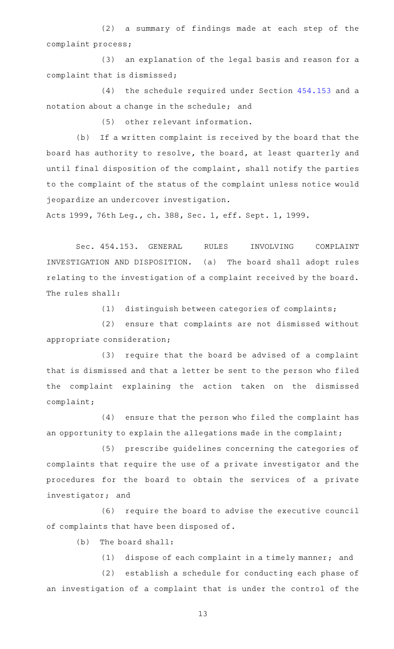$(2)$  a summary of findings made at each step of the complaint process;

(3) an explanation of the legal basis and reason for a complaint that is dismissed;

 $(4)$  the schedule required under Section  $454.153$  and a notation about a change in the schedule; and

(5) other relevant information.

(b) If a written complaint is received by the board that the board has authority to resolve, the board, at least quarterly and until final disposition of the complaint, shall notify the parties to the complaint of the status of the complaint unless notice would jeopardize an undercover investigation.

Acts 1999, 76th Leg., ch. 388, Sec. 1, eff. Sept. 1, 1999.

Sec. 454.153. GENERAL RULES INVOLVING COMPLAINT INVESTIGATION AND DISPOSITION. (a) The board shall adopt rules relating to the investigation of a complaint received by the board. The rules shall:

(1) distinguish between categories of complaints;

 $(2)$  ensure that complaints are not dismissed without appropriate consideration;

(3) require that the board be advised of a complaint that is dismissed and that a letter be sent to the person who filed the complaint explaining the action taken on the dismissed complaint;

(4) ensure that the person who filed the complaint has an opportunity to explain the allegations made in the complaint;

(5) prescribe guidelines concerning the categories of complaints that require the use of a private investigator and the procedures for the board to obtain the services of a private investigator; and

(6) require the board to advise the executive council of complaints that have been disposed of.

 $(b)$  The board shall:

 $(1)$  dispose of each complaint in a timely manner; and

(2) establish a schedule for conducting each phase of an investigation of a complaint that is under the control of the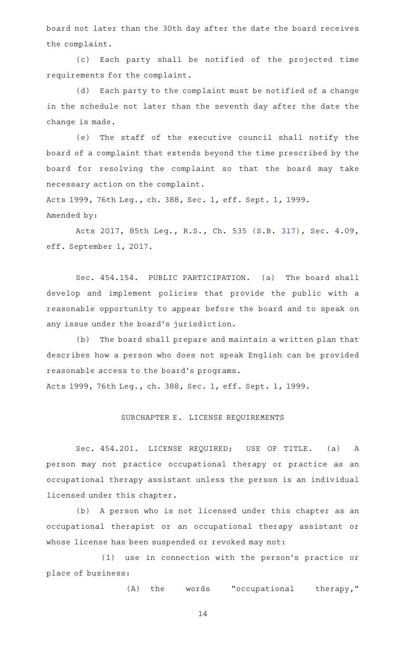board not later than the 30th day after the date the board receives the complaint.

(c) Each party shall be notified of the projected time requirements for the complaint.

(d) Each party to the complaint must be notified of a change in the schedule not later than the seventh day after the date the change is made.

(e) The staff of the executive council shall notify the board of a complaint that extends beyond the time prescribed by the board for resolving the complaint so that the board may take necessary action on the complaint.

Acts 1999, 76th Leg., ch. 388, Sec. 1, eff. Sept. 1, 1999. Amended by:

Acts 2017, 85th Leg., R.S., Ch. 535 (S.B. [317](http://www.legis.state.tx.us/tlodocs/85R/billtext/html/SB00317F.HTM)), Sec. 4.09, eff. September 1, 2017.

Sec. 454.154. PUBLIC PARTICIPATION. (a) The board shall develop and implement policies that provide the public with a reasonable opportunity to appear before the board and to speak on any issue under the board's jurisdiction.

(b) The board shall prepare and maintain a written plan that describes how a person who does not speak English can be provided reasonable access to the board 's programs.

Acts 1999, 76th Leg., ch. 388, Sec. 1, eff. Sept. 1, 1999.

## SUBCHAPTER E. LICENSE REQUIREMENTS

Sec. 454.201. LICENSE REQUIRED; USE OF TITLE. (a) A person may not practice occupational therapy or practice as an occupational therapy assistant unless the person is an individual licensed under this chapter.

(b) A person who is not licensed under this chapter as an occupational therapist or an occupational therapy assistant or whose license has been suspended or revoked may not:

(1) use in connection with the person's practice or place of business:

 $(A)$  the words "occupational therapy,"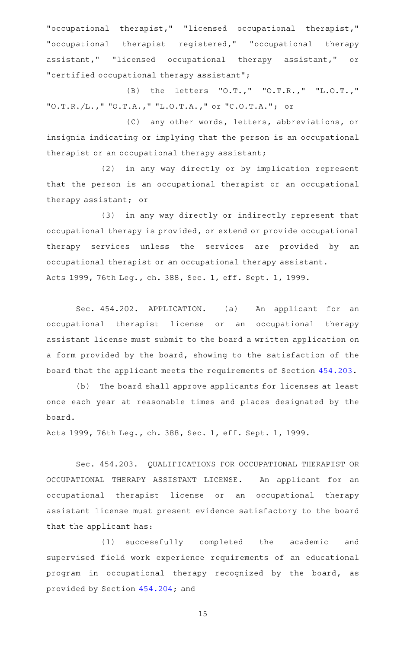"occupational therapist," "licensed occupational therapist," "occupational therapist registered," "occupational therapy assistant," "licensed occupational therapy assistant," or "certified occupational therapy assistant";

(B) the letters "O.T.," "O.T.R.," "L.O.T.," "O.T.R./L.," "O.T.A.," "L.O.T.A.," or "C.O.T.A."; or

(C) any other words, letters, abbreviations, or insignia indicating or implying that the person is an occupational therapist or an occupational therapy assistant;

(2) in any way directly or by implication represent that the person is an occupational therapist or an occupational therapy assistant; or

(3) in any way directly or indirectly represent that occupational therapy is provided, or extend or provide occupational therapy services unless the services are provided by an occupational therapist or an occupational therapy assistant. Acts 1999, 76th Leg., ch. 388, Sec. 1, eff. Sept. 1, 1999.

Sec. 454.202. APPLICATION. (a) An applicant for an occupational therapist license or an occupational therapy assistant license must submit to the board a written application on a form provided by the board, showing to the satisfaction of the board that the applicant meets the requirements of Section [454.203.](https://statutes.capitol.texas.gov/GetStatute.aspx?Code=OC&Value=454.203)

(b) The board shall approve applicants for licenses at least once each year at reasonable times and places designated by the board.

Acts 1999, 76th Leg., ch. 388, Sec. 1, eff. Sept. 1, 1999.

Sec. 454.203. QUALIFICATIONS FOR OCCUPATIONAL THERAPIST OR OCCUPATIONAL THERAPY ASSISTANT LICENSE. An applicant for an occupational therapist license or an occupational therapy assistant license must present evidence satisfactory to the board that the applicant has:

(1) successfully completed the academic and supervised field work experience requirements of an educational program in occupational therapy recognized by the board, as provided by Section [454.204](https://statutes.capitol.texas.gov/GetStatute.aspx?Code=OC&Value=454.204); and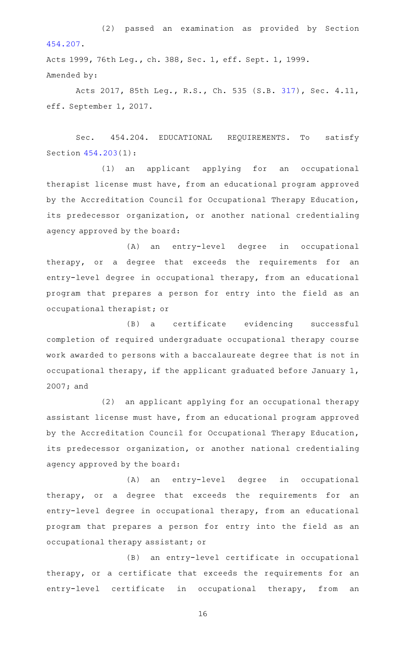(2) passed an examination as provided by Section [454.207.](https://statutes.capitol.texas.gov/GetStatute.aspx?Code=OC&Value=454.207)

Acts 1999, 76th Leg., ch. 388, Sec. 1, eff. Sept. 1, 1999. Amended by:

Acts 2017, 85th Leg., R.S., Ch. 535 (S.B. [317](http://www.legis.state.tx.us/tlodocs/85R/billtext/html/SB00317F.HTM)), Sec. 4.11, eff. September 1, 2017.

Sec. 454.204. EDUCATIONAL REQUIREMENTS. To satisfy Section [454.203\(](https://statutes.capitol.texas.gov/GetStatute.aspx?Code=OC&Value=454.203)1):

(1) an applicant applying for an occupational therapist license must have, from an educational program approved by the Accreditation Council for Occupational Therapy Education, its predecessor organization, or another national credentialing agency approved by the board:

(A) an entry-level degree in occupational therapy, or a degree that exceeds the requirements for an entry-level degree in occupational therapy, from an educational program that prepares a person for entry into the field as an occupational therapist; or

(B) a certificate evidencing successful completion of required undergraduate occupational therapy course work awarded to persons with a baccalaureate degree that is not in occupational therapy, if the applicant graduated before January 1, 2007; and

(2) an applicant applying for an occupational therapy assistant license must have, from an educational program approved by the Accreditation Council for Occupational Therapy Education, its predecessor organization, or another national credentialing agency approved by the board:

(A) an entry-level degree in occupational therapy, or a degree that exceeds the requirements for an entry-level degree in occupational therapy, from an educational program that prepares a person for entry into the field as an occupational therapy assistant; or

(B) an entry-level certificate in occupational therapy, or a certificate that exceeds the requirements for an entry-level certificate in occupational therapy, from an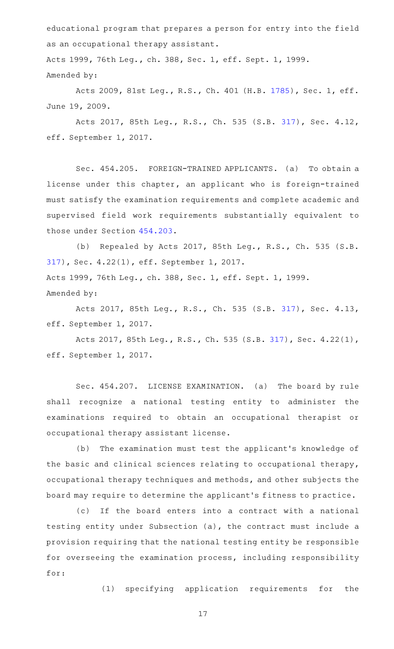educational program that prepares a person for entry into the field as an occupational therapy assistant.

Acts 1999, 76th Leg., ch. 388, Sec. 1, eff. Sept. 1, 1999. Amended by:

Acts 2009, 81st Leg., R.S., Ch. 401 (H.B. [1785](http://www.legis.state.tx.us/tlodocs/81R/billtext/html/HB01785F.HTM)), Sec. 1, eff. June 19, 2009.

Acts 2017, 85th Leg., R.S., Ch. 535 (S.B. [317](http://www.legis.state.tx.us/tlodocs/85R/billtext/html/SB00317F.HTM)), Sec. 4.12, eff. September 1, 2017.

Sec. 454.205. FOREIGN-TRAINED APPLICANTS. (a) To obtain a license under this chapter, an applicant who is foreign-trained must satisfy the examination requirements and complete academic and supervised field work requirements substantially equivalent to those under Section [454.203](https://statutes.capitol.texas.gov/GetStatute.aspx?Code=OC&Value=454.203).

(b) Repealed by Acts 2017, 85th Leg., R.S., Ch. 535 (S.B. [317\)](http://www.legis.state.tx.us/tlodocs/85R/billtext/html/SB00317F.HTM), Sec. 4.22(1), eff. September 1, 2017. Acts 1999, 76th Leg., ch. 388, Sec. 1, eff. Sept. 1, 1999. Amended by:

Acts 2017, 85th Leg., R.S., Ch. 535 (S.B. [317](http://www.legis.state.tx.us/tlodocs/85R/billtext/html/SB00317F.HTM)), Sec. 4.13, eff. September 1, 2017.

Acts 2017, 85th Leg., R.S., Ch. 535 (S.B. [317](http://www.legis.state.tx.us/tlodocs/85R/billtext/html/SB00317F.HTM)), Sec. 4.22(1), eff. September 1, 2017.

Sec. 454.207. LICENSE EXAMINATION. (a) The board by rule shall recognize a national testing entity to administer the examinations required to obtain an occupational therapist or occupational therapy assistant license.

(b) The examination must test the applicant's knowledge of the basic and clinical sciences relating to occupational therapy, occupational therapy techniques and methods, and other subjects the board may require to determine the applicant 's fitness to practice.

(c) If the board enters into a contract with a national testing entity under Subsection (a), the contract must include a provision requiring that the national testing entity be responsible for overseeing the examination process, including responsibility for:

(1) specifying application requirements for the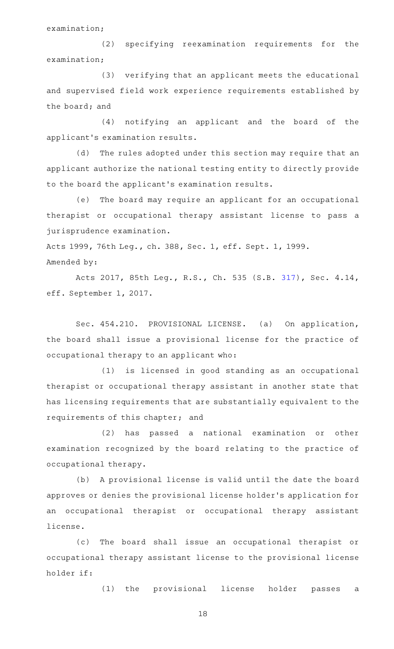examination;

(2) specifying reexamination requirements for the examination;

(3) verifying that an applicant meets the educational and supervised field work experience requirements established by the board; and

(4) notifying an applicant and the board of the applicant 's examination results.

(d) The rules adopted under this section may require that an applicant authorize the national testing entity to directly provide to the board the applicant 's examination results.

(e) The board may require an applicant for an occupational therapist or occupational therapy assistant license to pass a jurisprudence examination.

Acts 1999, 76th Leg., ch. 388, Sec. 1, eff. Sept. 1, 1999. Amended by:

Acts 2017, 85th Leg., R.S., Ch. 535 (S.B. [317](http://www.legis.state.tx.us/tlodocs/85R/billtext/html/SB00317F.HTM)), Sec. 4.14, eff. September 1, 2017.

Sec. 454.210. PROVISIONAL LICENSE. (a) On application, the board shall issue a provisional license for the practice of occupational therapy to an applicant who:

(1) is licensed in good standing as an occupational therapist or occupational therapy assistant in another state that has licensing requirements that are substantially equivalent to the requirements of this chapter; and

(2) has passed a national examination or other examination recognized by the board relating to the practice of occupational therapy.

(b) A provisional license is valid until the date the board approves or denies the provisional license holder 's application for an occupational therapist or occupational therapy assistant license.

(c) The board shall issue an occupational therapist or occupational therapy assistant license to the provisional license holder if:

(1) the provisional license holder passes a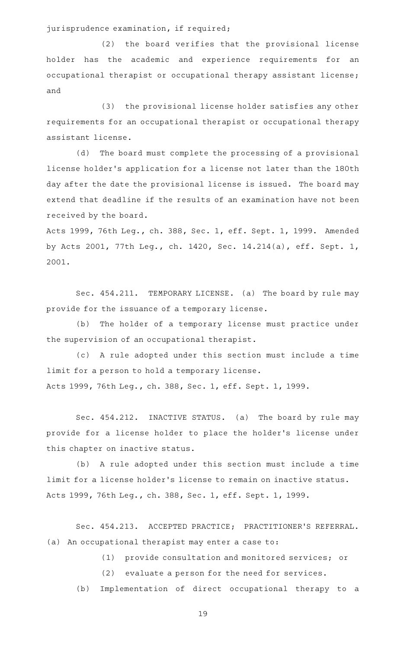jurisprudence examination, if required;

(2) the board verifies that the provisional license holder has the academic and experience requirements for an occupational therapist or occupational therapy assistant license; and

(3) the provisional license holder satisfies any other requirements for an occupational therapist or occupational therapy assistant license.

(d) The board must complete the processing of a provisional license holder 's application for a license not later than the 180th day after the date the provisional license is issued. The board may extend that deadline if the results of an examination have not been received by the board.

Acts 1999, 76th Leg., ch. 388, Sec. 1, eff. Sept. 1, 1999. Amended by Acts 2001, 77th Leg., ch. 1420, Sec. 14.214(a), eff. Sept. 1, 2001.

Sec. 454.211. TEMPORARY LICENSE. (a) The board by rule may provide for the issuance of a temporary license.

(b) The holder of a temporary license must practice under the supervision of an occupational therapist.

(c)AAA rule adopted under this section must include a time limit for a person to hold a temporary license. Acts 1999, 76th Leg., ch. 388, Sec. 1, eff. Sept. 1, 1999.

Sec. 454.212. INACTIVE STATUS. (a) The board by rule may provide for a license holder to place the holder 's license under this chapter on inactive status.

(b) A rule adopted under this section must include a time limit for a license holder 's license to remain on inactive status. Acts 1999, 76th Leg., ch. 388, Sec. 1, eff. Sept. 1, 1999.

Sec. 454.213. ACCEPTED PRACTICE; PRACTITIONER'S REFERRAL. (a) An occupational therapist may enter a case to:

(1) provide consultation and monitored services; or

(2) evaluate a person for the need for services.

(b) Implementation of direct occupational therapy to a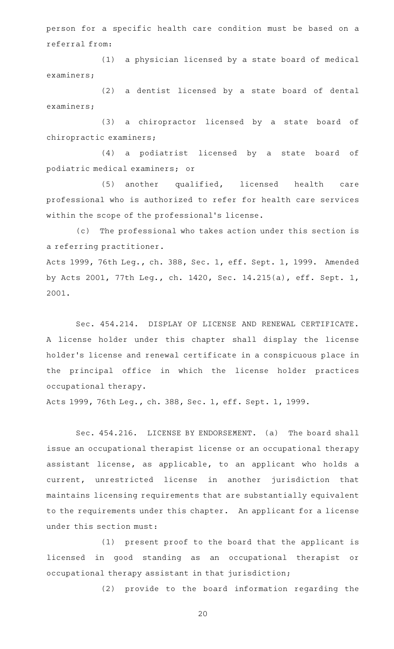person for a specific health care condition must be based on a referral from:

(1) a physician licensed by a state board of medical examiners;

(2) a dentist licensed by a state board of dental examiners;

(3) a chiropractor licensed by a state board of chiropractic examiners;

(4) a podiatrist licensed by a state board of podiatric medical examiners; or

(5) another qualified, licensed health care professional who is authorized to refer for health care services within the scope of the professional's license.

(c) The professional who takes action under this section is a referring practitioner.

Acts 1999, 76th Leg., ch. 388, Sec. 1, eff. Sept. 1, 1999. Amended by Acts 2001, 77th Leg., ch. 1420, Sec. 14.215(a), eff. Sept. 1, 2001.

Sec. 454.214. DISPLAY OF LICENSE AND RENEWAL CERTIFICATE. A license holder under this chapter shall display the license holder 's license and renewal certificate in a conspicuous place in the principal office in which the license holder practices occupational therapy.

Acts 1999, 76th Leg., ch. 388, Sec. 1, eff. Sept. 1, 1999.

Sec. 454.216. LICENSE BY ENDORSEMENT. (a) The board shall issue an occupational therapist license or an occupational therapy assistant license, as applicable, to an applicant who holds a current, unrestricted license in another jurisdiction that maintains licensing requirements that are substantially equivalent to the requirements under this chapter. An applicant for a license under this section must:

(1) present proof to the board that the applicant is licensed in good standing as an occupational therapist or occupational therapy assistant in that jurisdiction;

(2) provide to the board information regarding the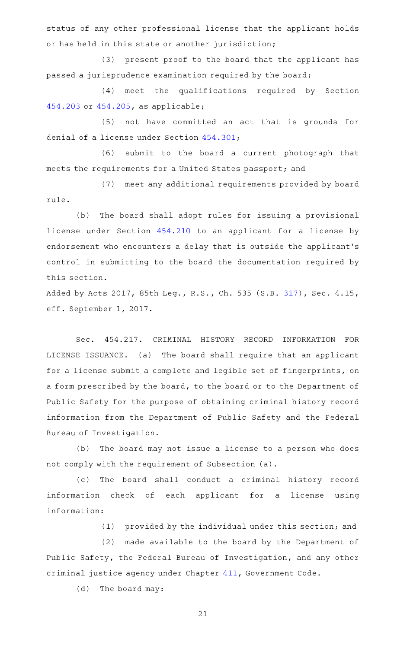status of any other professional license that the applicant holds or has held in this state or another jurisdiction;

(3) present proof to the board that the applicant has passed a jurisprudence examination required by the board;

(4) meet the qualifications required by Section [454.203](https://statutes.capitol.texas.gov/GetStatute.aspx?Code=OC&Value=454.203) or [454.205,](https://statutes.capitol.texas.gov/GetStatute.aspx?Code=OC&Value=454.205) as applicable;

(5) not have committed an act that is grounds for denial of a license under Section [454.301](https://statutes.capitol.texas.gov/GetStatute.aspx?Code=OC&Value=454.301);

(6) submit to the board a current photograph that meets the requirements for a United States passport; and

(7) meet any additional requirements provided by board rule.

(b) The board shall adopt rules for issuing a provisional license under Section [454.210](https://statutes.capitol.texas.gov/GetStatute.aspx?Code=OC&Value=454.210) to an applicant for a license by endorsement who encounters a delay that is outside the applicant 's control in submitting to the board the documentation required by this section.

Added by Acts 2017, 85th Leg., R.S., Ch. 535 (S.B. [317](http://www.legis.state.tx.us/tlodocs/85R/billtext/html/SB00317F.HTM)), Sec. 4.15, eff. September 1, 2017.

Sec. 454.217. CRIMINAL HISTORY RECORD INFORMATION FOR LICENSE ISSUANCE. (a) The board shall require that an applicant for a license submit a complete and legible set of fingerprints, on a form prescribed by the board, to the board or to the Department of Public Safety for the purpose of obtaining criminal history record information from the Department of Public Safety and the Federal Bureau of Investigation.

(b) The board may not issue a license to a person who does not comply with the requirement of Subsection (a).

(c) The board shall conduct a criminal history record information check of each applicant for a license using information:

(1) provided by the individual under this section; and

(2) made available to the board by the Department of Public Safety, the Federal Bureau of Investigation, and any other criminal justice agency under Chapter [411,](https://statutes.capitol.texas.gov/GetStatute.aspx?Code=GV&Value=411) Government Code.

(d) The board may: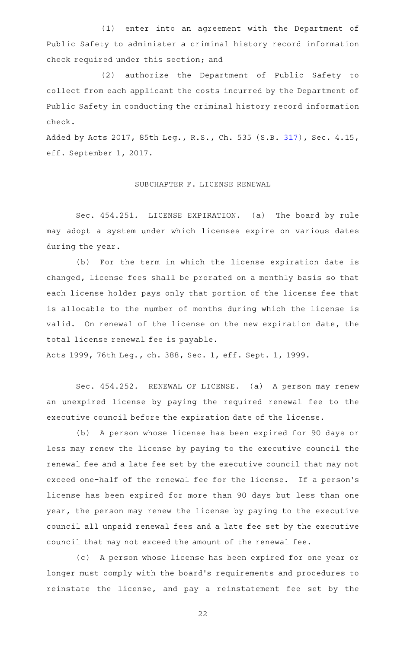(1) enter into an agreement with the Department of Public Safety to administer a criminal history record information check required under this section; and

(2) authorize the Department of Public Safety to collect from each applicant the costs incurred by the Department of Public Safety in conducting the criminal history record information check.

Added by Acts 2017, 85th Leg., R.S., Ch. 535 (S.B. [317](http://www.legis.state.tx.us/tlodocs/85R/billtext/html/SB00317F.HTM)), Sec. 4.15, eff. September 1, 2017.

### SUBCHAPTER F. LICENSE RENEWAL

Sec. 454.251. LICENSE EXPIRATION. (a) The board by rule may adopt a system under which licenses expire on various dates during the year.

(b) For the term in which the license expiration date is changed, license fees shall be prorated on a monthly basis so that each license holder pays only that portion of the license fee that is allocable to the number of months during which the license is valid. On renewal of the license on the new expiration date, the total license renewal fee is payable.

Acts 1999, 76th Leg., ch. 388, Sec. 1, eff. Sept. 1, 1999.

Sec. 454.252. RENEWAL OF LICENSE. (a) A person may renew an unexpired license by paying the required renewal fee to the executive council before the expiration date of the license.

(b) A person whose license has been expired for 90 days or less may renew the license by paying to the executive council the renewal fee and a late fee set by the executive council that may not exceed one-half of the renewal fee for the license. If a person's license has been expired for more than 90 days but less than one year, the person may renew the license by paying to the executive council all unpaid renewal fees and a late fee set by the executive council that may not exceed the amount of the renewal fee.

(c) A person whose license has been expired for one year or longer must comply with the board 's requirements and procedures to reinstate the license, and pay a reinstatement fee set by the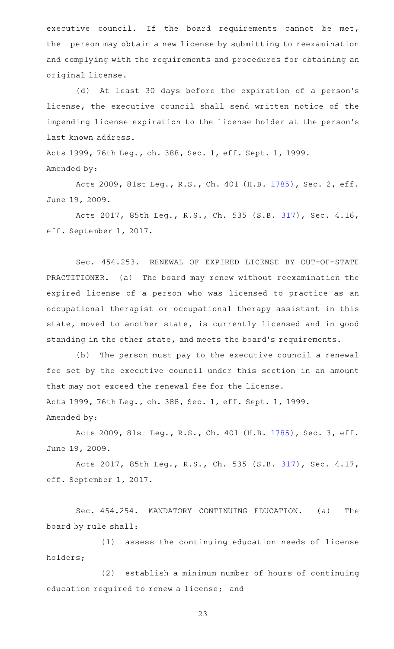executive council. If the board requirements cannot be met, the person may obtain a new license by submitting to reexamination and complying with the requirements and procedures for obtaining an original license.

(d) At least 30 days before the expiration of a person's license, the executive council shall send written notice of the impending license expiration to the license holder at the person's last known address.

Acts 1999, 76th Leg., ch. 388, Sec. 1, eff. Sept. 1, 1999. Amended by:

Acts 2009, 81st Leg., R.S., Ch. 401 (H.B. [1785](http://www.legis.state.tx.us/tlodocs/81R/billtext/html/HB01785F.HTM)), Sec. 2, eff. June 19, 2009.

Acts 2017, 85th Leg., R.S., Ch. 535 (S.B. [317](http://www.legis.state.tx.us/tlodocs/85R/billtext/html/SB00317F.HTM)), Sec. 4.16, eff. September 1, 2017.

Sec. 454.253. RENEWAL OF EXPIRED LICENSE BY OUT-OF-STATE PRACTITIONER. (a) The board may renew without reexamination the expired license of a person who was licensed to practice as an occupational therapist or occupational therapy assistant in this state, moved to another state, is currently licensed and in good standing in the other state, and meets the board's requirements.

(b) The person must pay to the executive council a renewal fee set by the executive council under this section in an amount that may not exceed the renewal fee for the license. Acts 1999, 76th Leg., ch. 388, Sec. 1, eff. Sept. 1, 1999.

Amended by:

Acts 2009, 81st Leg., R.S., Ch. 401 (H.B. [1785](http://www.legis.state.tx.us/tlodocs/81R/billtext/html/HB01785F.HTM)), Sec. 3, eff. June 19, 2009.

Acts 2017, 85th Leg., R.S., Ch. 535 (S.B. [317](http://www.legis.state.tx.us/tlodocs/85R/billtext/html/SB00317F.HTM)), Sec. 4.17, eff. September 1, 2017.

Sec. 454.254. MANDATORY CONTINUING EDUCATION. (a) The board by rule shall:

(1) assess the continuing education needs of license holders;

(2) establish a minimum number of hours of continuing education required to renew a license; and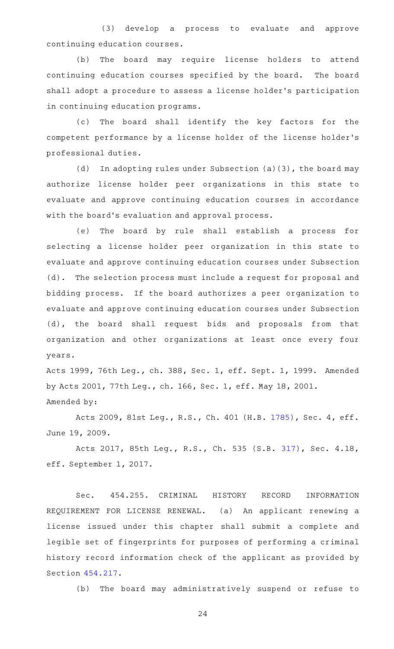(3) develop a process to evaluate and approve continuing education courses.

(b) The board may require license holders to attend continuing education courses specified by the board. The board shall adopt a procedure to assess a license holder 's participation in continuing education programs.

(c) The board shall identify the key factors for the competent performance by a license holder of the license holder 's professional duties.

(d) In adopting rules under Subsection  $(a)(3)$ , the board may authorize license holder peer organizations in this state to evaluate and approve continuing education courses in accordance with the board's evaluation and approval process.

(e) The board by rule shall establish a process for selecting a license holder peer organization in this state to evaluate and approve continuing education courses under Subsection (d). The selection process must include a request for proposal and bidding process. If the board authorizes a peer organization to evaluate and approve continuing education courses under Subsection (d), the board shall request bids and proposals from that organization and other organizations at least once every four years.

Acts 1999, 76th Leg., ch. 388, Sec. 1, eff. Sept. 1, 1999. Amended by Acts 2001, 77th Leg., ch. 166, Sec. 1, eff. May 18, 2001. Amended by:

Acts 2009, 81st Leg., R.S., Ch. 401 (H.B. [1785](http://www.legis.state.tx.us/tlodocs/81R/billtext/html/HB01785F.HTM)), Sec. 4, eff. June 19, 2009.

Acts 2017, 85th Leg., R.S., Ch. 535 (S.B. [317](http://www.legis.state.tx.us/tlodocs/85R/billtext/html/SB00317F.HTM)), Sec. 4.18, eff. September 1, 2017.

Sec. 454.255. CRIMINAL HISTORY RECORD INFORMATION REQUIREMENT FOR LICENSE RENEWAL. (a) An applicant renewing a license issued under this chapter shall submit a complete and legible set of fingerprints for purposes of performing a criminal history record information check of the applicant as provided by Section [454.217.](https://statutes.capitol.texas.gov/GetStatute.aspx?Code=OC&Value=454.217)

(b) The board may administratively suspend or refuse to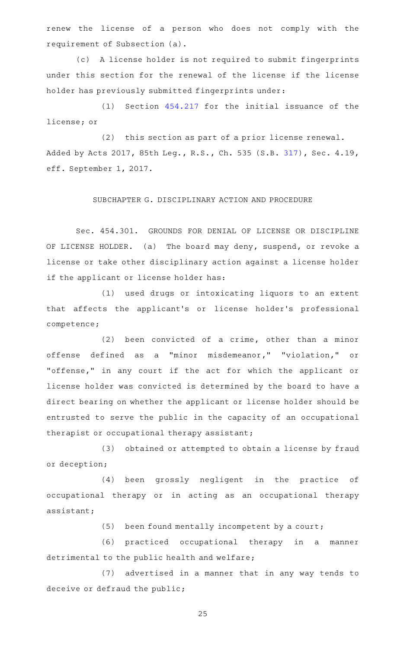renew the license of a person who does not comply with the requirement of Subsection (a).

(c)AAA license holder is not required to submit fingerprints under this section for the renewal of the license if the license holder has previously submitted fingerprints under:

 $(1)$  Section  $454.217$  for the initial issuance of the license; or

(2) this section as part of a prior license renewal. Added by Acts 2017, 85th Leg., R.S., Ch. 535 (S.B. [317](http://www.legis.state.tx.us/tlodocs/85R/billtext/html/SB00317F.HTM)), Sec. 4.19, eff. September 1, 2017.

## SUBCHAPTER G. DISCIPLINARY ACTION AND PROCEDURE

Sec. 454.301. GROUNDS FOR DENIAL OF LICENSE OR DISCIPLINE OF LICENSE HOLDER. (a) The board may deny, suspend, or revoke a license or take other disciplinary action against a license holder if the applicant or license holder has:

(1) used drugs or intoxicating liquors to an extent that affects the applicant 's or license holder 's professional competence;

 $(2)$  been convicted of a crime, other than a minor offense defined as a "minor misdemeanor," "violation," or "offense," in any court if the act for which the applicant or license holder was convicted is determined by the board to have a direct bearing on whether the applicant or license holder should be entrusted to serve the public in the capacity of an occupational therapist or occupational therapy assistant;

(3) obtained or attempted to obtain a license by fraud or deception;

(4) been grossly negligent in the practice of occupational therapy or in acting as an occupational therapy assistant;

 $(5)$  been found mentally incompetent by a court;

(6) practiced occupational therapy in a manner detrimental to the public health and welfare;

(7) advertised in a manner that in any way tends to deceive or defraud the public;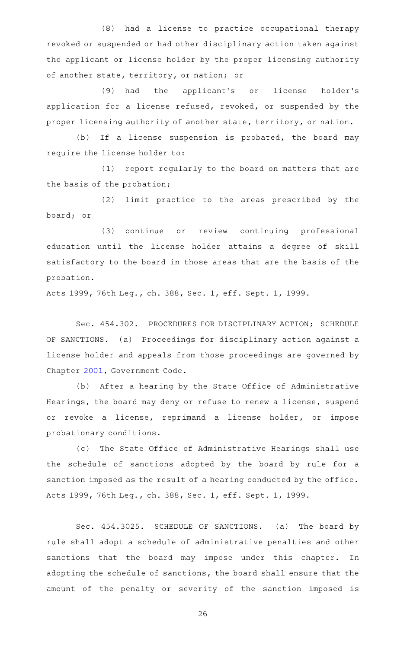(8) had a license to practice occupational therapy revoked or suspended or had other disciplinary action taken against the applicant or license holder by the proper licensing authority of another state, territory, or nation; or

(9) had the applicant's or license holder's application for a license refused, revoked, or suspended by the proper licensing authority of another state, territory, or nation.

(b) If a license suspension is probated, the board may require the license holder to:

(1) report regularly to the board on matters that are the basis of the probation;

(2) limit practice to the areas prescribed by the board; or

(3) continue or review continuing professional education until the license holder attains a degree of skill satisfactory to the board in those areas that are the basis of the probation.

Acts 1999, 76th Leg., ch. 388, Sec. 1, eff. Sept. 1, 1999.

Sec. 454.302. PROCEDURES FOR DISCIPLINARY ACTION; SCHEDULE OF SANCTIONS. (a) Proceedings for disciplinary action against a license holder and appeals from those proceedings are governed by Chapter [2001](https://statutes.capitol.texas.gov/GetStatute.aspx?Code=GV&Value=2001), Government Code.

(b) After a hearing by the State Office of Administrative Hearings, the board may deny or refuse to renew a license, suspend or revoke a license, reprimand a license holder, or impose probationary conditions.

(c) The State Office of Administrative Hearings shall use the schedule of sanctions adopted by the board by rule for a sanction imposed as the result of a hearing conducted by the office. Acts 1999, 76th Leg., ch. 388, Sec. 1, eff. Sept. 1, 1999.

Sec. 454.3025. SCHEDULE OF SANCTIONS. (a) The board by rule shall adopt a schedule of administrative penalties and other sanctions that the board may impose under this chapter. In adopting the schedule of sanctions, the board shall ensure that the amount of the penalty or severity of the sanction imposed is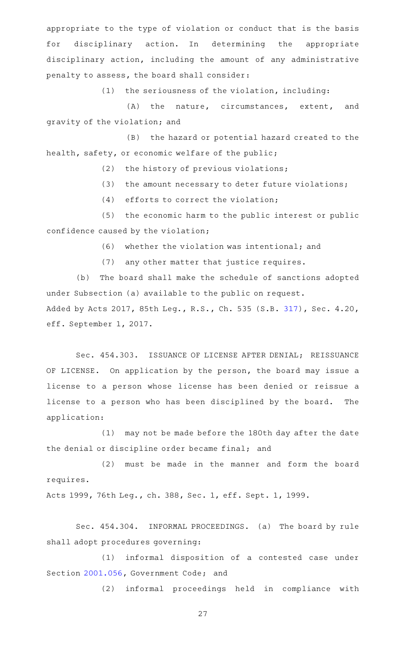appropriate to the type of violation or conduct that is the basis for disciplinary action. In determining the appropriate disciplinary action, including the amount of any administrative penalty to assess, the board shall consider:

 $(1)$  the seriousness of the violation, including:

(A) the nature, circumstances, extent, and gravity of the violation; and

(B) the hazard or potential hazard created to the health, safety, or economic welfare of the public;

 $(2)$  the history of previous violations;

(3) the amount necessary to deter future violations;

 $(4)$  efforts to correct the violation;

(5) the economic harm to the public interest or public confidence caused by the violation;

 $(6)$  whether the violation was intentional; and

(7) any other matter that justice requires.

(b) The board shall make the schedule of sanctions adopted under Subsection (a) available to the public on request. Added by Acts 2017, 85th Leg., R.S., Ch. 535 (S.B. [317](http://www.legis.state.tx.us/tlodocs/85R/billtext/html/SB00317F.HTM)), Sec. 4.20, eff. September 1, 2017.

Sec. 454.303. ISSUANCE OF LICENSE AFTER DENIAL; REISSUANCE OF LICENSE. On application by the person, the board may issue a license to a person whose license has been denied or reissue a license to a person who has been disciplined by the board. The application:

(1) may not be made before the 180th day after the date the denial or discipline order became final; and

(2) must be made in the manner and form the board requires.

Acts 1999, 76th Leg., ch. 388, Sec. 1, eff. Sept. 1, 1999.

Sec. 454.304. INFORMAL PROCEEDINGS. (a) The board by rule shall adopt procedures governing:

(1) informal disposition of a contested case under Section [2001.056](https://statutes.capitol.texas.gov/GetStatute.aspx?Code=GV&Value=2001.056), Government Code; and

(2) informal proceedings held in compliance with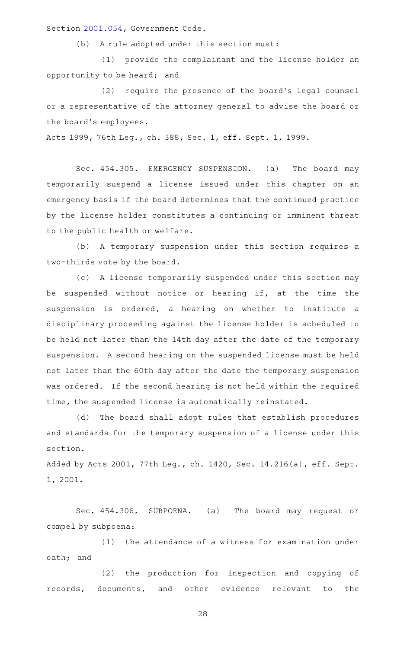Section [2001.054](https://statutes.capitol.texas.gov/GetStatute.aspx?Code=GV&Value=2001.054), Government Code.

(b) A rule adopted under this section must:

(1) provide the complainant and the license holder an opportunity to be heard; and

(2) require the presence of the board's legal counsel or a representative of the attorney general to advise the board or the board's employees.

Acts 1999, 76th Leg., ch. 388, Sec. 1, eff. Sept. 1, 1999.

Sec. 454.305. EMERGENCY SUSPENSION. (a) The board may temporarily suspend a license issued under this chapter on an emergency basis if the board determines that the continued practice by the license holder constitutes a continuing or imminent threat to the public health or welfare.

(b) A temporary suspension under this section requires a two-thirds vote by the board.

(c) A license temporarily suspended under this section may be suspended without notice or hearing if, at the time the suspension is ordered, a hearing on whether to institute a disciplinary proceeding against the license holder is scheduled to be held not later than the 14th day after the date of the temporary suspension. A second hearing on the suspended license must be held not later than the 60th day after the date the temporary suspension was ordered. If the second hearing is not held within the required time, the suspended license is automatically reinstated.

(d) The board shall adopt rules that establish procedures and standards for the temporary suspension of a license under this section.

Added by Acts 2001, 77th Leg., ch. 1420, Sec. 14.216(a), eff. Sept. 1, 2001.

Sec. 454.306. SUBPOENA. (a) The board may request or compel by subpoena:

(1) the attendance of a witness for examination under oath; and

(2) the production for inspection and copying of records, documents, and other evidence relevant to the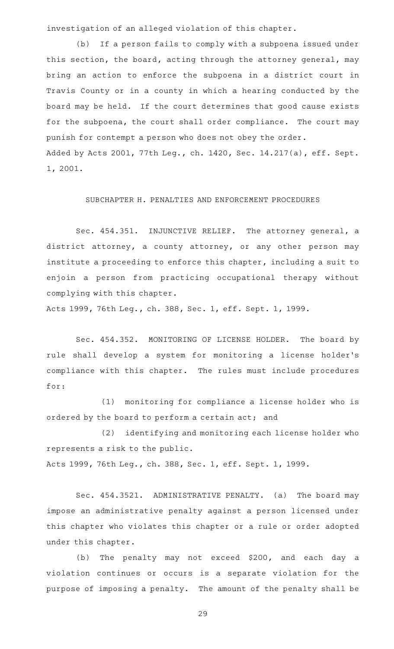investigation of an alleged violation of this chapter.

(b) If a person fails to comply with a subpoena issued under this section, the board, acting through the attorney general, may bring an action to enforce the subpoena in a district court in Travis County or in a county in which a hearing conducted by the board may be held. If the court determines that good cause exists for the subpoena, the court shall order compliance. The court may punish for contempt a person who does not obey the order. Added by Acts 2001, 77th Leg., ch. 1420, Sec. 14.217(a), eff. Sept. 1, 2001.

# SUBCHAPTER H. PENALTIES AND ENFORCEMENT PROCEDURES

Sec. 454.351. INJUNCTIVE RELIEF. The attorney general, a district attorney, a county attorney, or any other person may institute a proceeding to enforce this chapter, including a suit to enjoin a person from practicing occupational therapy without complying with this chapter.

Acts 1999, 76th Leg., ch. 388, Sec. 1, eff. Sept. 1, 1999.

Sec. 454.352. MONITORING OF LICENSE HOLDER. The board by rule shall develop a system for monitoring a license holder 's compliance with this chapter. The rules must include procedures for:

(1) monitoring for compliance a license holder who is ordered by the board to perform a certain act; and

(2) identifying and monitoring each license holder who represents a risk to the public.

Acts 1999, 76th Leg., ch. 388, Sec. 1, eff. Sept. 1, 1999.

Sec. 454.3521. ADMINISTRATIVE PENALTY. (a) The board may impose an administrative penalty against a person licensed under this chapter who violates this chapter or a rule or order adopted under this chapter.

(b) The penalty may not exceed \$200, and each day a violation continues or occurs is a separate violation for the purpose of imposing a penalty. The amount of the penalty shall be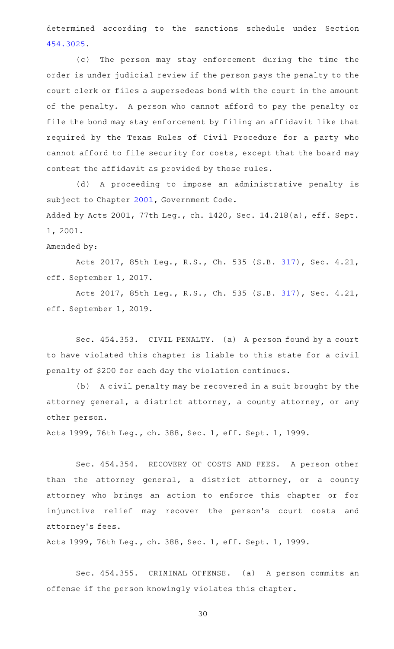determined according to the sanctions schedule under Section [454.3025](https://statutes.capitol.texas.gov/GetStatute.aspx?Code=OC&Value=454.3025).

(c) The person may stay enforcement during the time the order is under judicial review if the person pays the penalty to the court clerk or files a supersedeas bond with the court in the amount of the penalty. A person who cannot afford to pay the penalty or file the bond may stay enforcement by filing an affidavit like that required by the Texas Rules of Civil Procedure for a party who cannot afford to file security for costs, except that the board may contest the affidavit as provided by those rules.

(d) A proceeding to impose an administrative penalty is subject to Chapter [2001](https://statutes.capitol.texas.gov/GetStatute.aspx?Code=GV&Value=2001), Government Code.

Added by Acts 2001, 77th Leg., ch. 1420, Sec. 14.218(a), eff. Sept. 1, 2001.

Amended by:

Acts 2017, 85th Leg., R.S., Ch. 535 (S.B. [317](http://www.legis.state.tx.us/tlodocs/85R/billtext/html/SB00317F.HTM)), Sec. 4.21, eff. September 1, 2017.

Acts 2017, 85th Leg., R.S., Ch. 535 (S.B. [317](http://www.legis.state.tx.us/tlodocs/85R/billtext/html/SB00317F.HTM)), Sec. 4.21, eff. September 1, 2019.

Sec. 454.353. CIVIL PENALTY. (a) A person found by a court to have violated this chapter is liable to this state for a civil penalty of \$200 for each day the violation continues.

(b) A civil penalty may be recovered in a suit brought by the attorney general, a district attorney, a county attorney, or any other person.

Acts 1999, 76th Leg., ch. 388, Sec. 1, eff. Sept. 1, 1999.

Sec. 454.354. RECOVERY OF COSTS AND FEES. A person other than the attorney general, a district attorney, or a county attorney who brings an action to enforce this chapter or for injunctive relief may recover the person's court costs and attorney 's fees.

Acts 1999, 76th Leg., ch. 388, Sec. 1, eff. Sept. 1, 1999.

Sec. 454.355. CRIMINAL OFFENSE. (a) A person commits an offense if the person knowingly violates this chapter.